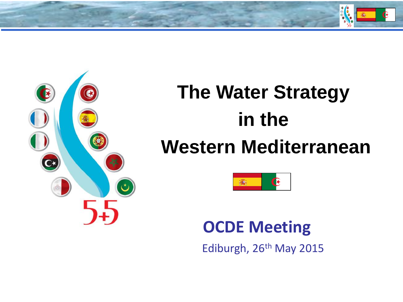



# **The Water Strategy in the Western Mediterranean**



### **OCDE Meeting**

Ediburgh, 26<sup>th</sup> May 2015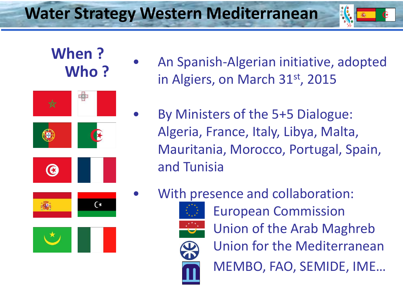

### **When ? Who ?**

![](_page_1_Picture_3.jpeg)

- An Spanish-Algerian initiative, adopted in Algiers, on March 31<sup>st</sup>, 2015
- By Ministers of the 5+5 Dialogue: Algeria, France, Italy, Libya, Malta, Mauritania, Morocco, Portugal, Spain, and Tunisia
- With presence and collaboration:

![](_page_1_Picture_7.jpeg)

![](_page_1_Picture_8.jpeg)

European Commission Union of the Arab Maghreb Union for the Mediterranean MEMBO, FAO, SEMIDE, IME…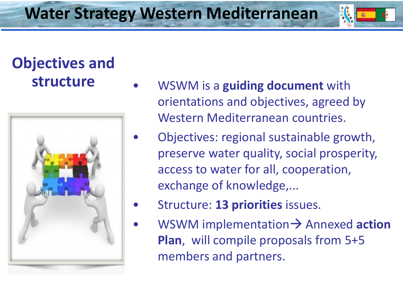# **Objectives and**

![](_page_2_Picture_3.jpeg)

- **structure** WSWM is a **guiding document** with orientations and objectives, agreed by Western Mediterranean countries.
	- Objectives: regional sustainable growth, preserve water quality, social prosperity, access to water for all, cooperation, exchange of knowledge,...
	- Structure: **13 priorities** issues.
	- WSWM implementation  $\rightarrow$  Annexed **action Plan**, will compile proposals from 5+5 members and partners.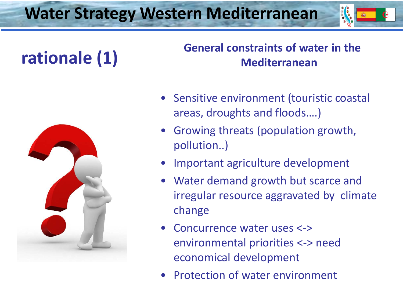![](_page_3_Picture_1.jpeg)

# **rationale (1)**

#### **General constraints of water in the Mediterranean**

![](_page_3_Picture_4.jpeg)

- Sensitive environment (touristic coastal areas, droughts and floods….)
- Growing threats (population growth, pollution..)
- Important agriculture development
- Water demand growth but scarce and irregular resource aggravated by climate change
- Concurrence water uses <-> environmental priorities <-> need economical development
- Protection of water environment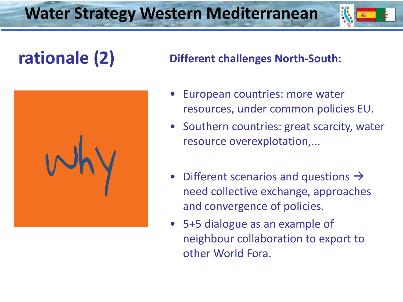![](_page_4_Picture_1.jpeg)

![](_page_4_Picture_3.jpeg)

#### **rationale (2) Different challenges North-South:**

- European countries: more water resources, under common policies EU.
- Southern countries: great scarcity, water resource overexplotation,...
- Different scenarios and questions  $\rightarrow$ need collective exchange, approaches and convergence of policies.
- 5+5 dialogue as an example of neighbour collaboration to export to other World Fora.